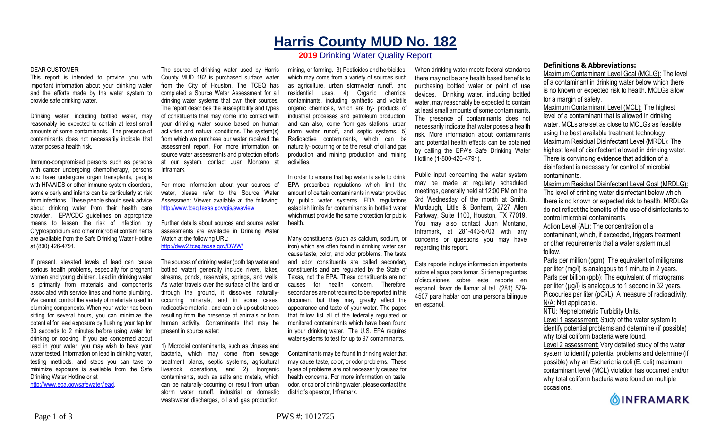# **Harris County MUD No. 182**

# **2019** Drinking Water Quality Report

#### DEAR CUSTOMER:

This report is intended to provide you with important information about your drinking water and the efforts made by the water system to provide safe drinking water.

Drinking water, including bottled water, may reasonably be expected to contain at least small amounts of some contaminants. The presence of contaminants does not necessarily indicate that water poses a health risk.

Immuno-compromised persons such as persons with cancer undergoing chemotherapy, persons who have undergone organ transplants, people with HIV/AIDS or other immune system disorders, some elderly and infants can be particularly at risk from infections. These people should seek advice about drinking water from their health care provider. EPA/CDC guidelines on appropriate means to lessen the risk of infection by Cryptosporidium and other microbial contaminants are available from the Safe Drinking Water Hotline at (800) 426-4791.

If present, elevated levels of lead can cause serious health problems, especially for pregnant women and young children. Lead in drinking water is primarily from materials and components associated with service lines and home plumbing. We cannot control the variety of materials used in plumbing components. When your water has been sitting for several hours, you can minimize the potential for lead exposure by flushing your tap for 30 seconds to 2 minutes before using water for drinking or cooking. If you are concerned about lead in your water, you may wish to have your water tested. Information on lead in drinking water, testing methods, and steps you can take to minimize exposure is available from the Safe Drinking Water Hotline or at http://www.epa.gov/safewater/lead.

The source of drinking water used by Harris County MUD 182 is purchased surface water from the City of Houston. The TCEQ has completed a Source Water Assessment for all drinking water systems that own their sources. The report describes the susceptibility and types of constituents that may come into contact with your drinking water source based on human activities and natural conditions. The system(s) from which we purchase our water received the assessment report. For more information on source water assessments and protection efforts at our system, contact Juan Montano at Inframark.

For more information about your sources of water, please refer to the Source Water Assessment Viewer available at the following: http://www.tceq.texas.gov/gis/swaview

Further details about sources and source water assessments are available in Drinking Water Watch at the following URL: http://dww2.tceq.texas.gov/DWW/

The sources of drinking water (both tap water and bottled water) generally include rivers, lakes, streams, ponds, reservoirs, springs, and wells. As water travels over the surface of the land or through the ground, it dissolves naturallyoccurring minerals, and in some cases, radioactive material, and can pick up substances resulting from the presence of animals or from human activity. Contaminants that may be present in source water:

1) Microbial contaminants, such as viruses and bacteria, which may come from sewage treatment plants, septic systems, agricultural livestock operations, and 2) Inorganic contaminants, such as salts and metals, which can be naturally-occurring or result from urban storm water runoff, industrial or domestic wastewater discharges, oil and gas production.

mining, or farming. 3) Pesticides and herbicides, which may come from a variety of sources such as agriculture, urban stormwater runoff, and residential uses. 4) Organic chemical contaminants, including synthetic and volatile organic chemicals, which are by- products of industrial processes and petroleum production, and can also, come from gas stations, urban storm water runoff, and septic systems. 5) Radioactive contaminants, which can be naturally- occurring or be the result of oil and gas production and mining production and mining activities.

In order to ensure that tap water is safe to drink, EPA prescribes regulations which limit the amount of certain contaminants in water provided by public water systems. FDA regulations establish limits for contaminants in bottled water which must provide the same protection for public health.

Many constituents (such as calcium, sodium, or iron) which are often found in drinking water can cause taste, color, and odor problems. The taste and odor constituents are called secondary constituents and are regulated by the State of Texas, not the EPA. These constituents are not causes for health concern. Therefore, secondaries are not required to be reported in this document but they may greatly affect the appearance and taste of your water. The pages that follow list all of the federally regulated or monitored contaminants which have been found in your drinking water. The U.S. EPA requires water systems to test for up to 97 contaminants.

Contaminants may be found in drinking water that may cause taste, color, or odor problems. These types of problems are not necessarily causes for health concerns. For more information on taste, odor, or color of drinking water, please contact the district's operator, Inframark.

When drinking water meets federal standards there may not be any health based benefits to purchasing bottled water or point of use devices. Drinking water, including bottled water, may reasonably be expected to contain at least small amounts of some contaminants. The presence of contaminants does not necessarily indicate that water poses a health risk. More information about contaminants and potential health effects can be obtained by calling the EPA's Safe Drinking Water Hotline (1-800-426-4791).

Public input concerning the water system may be made at regularly scheduled meetings, generally held at 12:00 PM on the 3rd Wednesday of the month at Smith, Murdaugh, Little & Bonham, 2727 Allen Parkway, Suite 1100, Houston, TX 77019. You may also contact Juan Montano, Inframark, at 281-443-5703 with any concerns or questions you may have regarding this report.

Este reporte incluye informacion importante sobre el agua para tomar. Si tiene preguntas o'discusiones sobre este reporte en espanol, favor de llamar al tel. (281) 579- 4507 para hablar con una persona bilingue en espanol.

## **Definitions & Abbreviations:**

Maximum Contaminant Level Goal (MCLG): The level of a contaminant in drinking water below which there is no known or expected risk to health. MCLGs allow for a margin of safety.

Maximum Contaminant Level (MCL): The highest level of a contaminant that is allowed in drinking water. MCLs are set as close to MCLGs as feasible using the best available treatment technology. Maximum Residual Disinfectant Level (MRDL): The highest level of disinfectant allowed in drinking water. There is convincing evidence that addition of a disinfectant is necessary for control of microbial contaminants.

Maximum Residual Disinfectant Level Goal (MRDLG): The level of drinking water disinfectant below which there is no known or expected risk to health. MRDLGs do not reflect the benefits of the use of disinfectants to control microbial contaminants.

Action Level (AL): The concentration of a contaminant, which, if exceeded, triggers treatment or other requirements that a water system must follow.

Parts per million (ppm): The equivalent of milligrams per liter (mg/l) is analogous to 1 minute in 2 years. Parts per billion (ppb): The equivalent of micrograms per liter  $(\mu g/l)$  is analogous to 1 second in 32 years. Picocuries per liter (pCi/L): A measure of radioactivity. N/A: Not applicable. NTU: Nephelometric Turbidity Units.

Level 1 assessment: Study of the water system to identify potential problems and determine (if possible) why total coliform bacteria were found.

Level 2 assessment: Very detailed study of the water system to identify potential problems and determine (if possible) why an Escherichia coli (E. coli) maximum contaminant level (MCL) violation has occurred and/or why total coliform bacteria were found on multiple occasions.

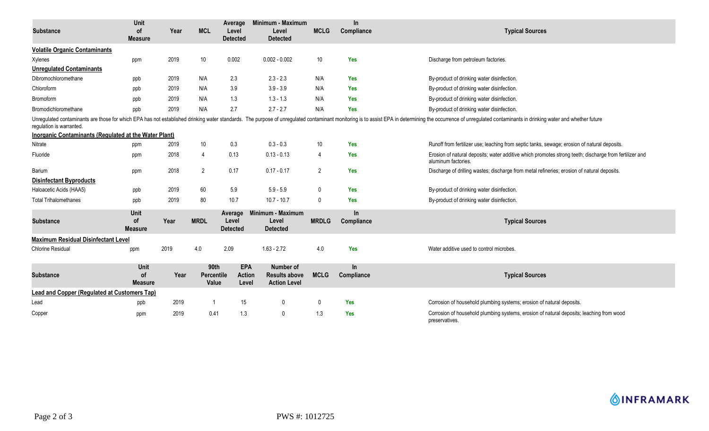| <b>Substance</b>                                                                         | Unit<br><b>of</b><br><b>Measure</b> | Year | <b>MCL</b>                  | Average<br>Level<br><b>Detected</b>  | Minimum - Maximum<br>Level<br><b>Detected</b>            | <b>MCLG</b>  | $\ln$<br>Compliance     | <b>Typical Sources</b>                                                                                                                                                                                                         |
|------------------------------------------------------------------------------------------|-------------------------------------|------|-----------------------------|--------------------------------------|----------------------------------------------------------|--------------|-------------------------|--------------------------------------------------------------------------------------------------------------------------------------------------------------------------------------------------------------------------------|
| <b>Volatile Organic Contaminants</b>                                                     |                                     |      |                             |                                      |                                                          |              |                         |                                                                                                                                                                                                                                |
| Xylenes                                                                                  | ppm                                 | 2019 | $10$                        | 0.002                                | $0.002 - 0.002$                                          | 10           | <b>Yes</b>              | Discharge from petroleum factories.                                                                                                                                                                                            |
| <b>Unregulated Contaminants</b>                                                          |                                     |      |                             |                                      |                                                          |              |                         |                                                                                                                                                                                                                                |
| Dibromochloromethane                                                                     | ppb                                 | 2019 | N/A                         | 2.3                                  | $2.3 - 2.3$                                              | N/A          | Yes                     | By-product of drinking water disinfection.                                                                                                                                                                                     |
| Chloroform                                                                               | ppb                                 | 2019 | N/A                         | 3.9                                  | $3.9 - 3.9$                                              | N/A          | Yes                     | By-product of drinking water disinfection.                                                                                                                                                                                     |
| Bromoform                                                                                | ppb                                 | 2019 | N/A                         | 1.3                                  | $1.3 - 1.3$                                              | N/A          | Yes                     | By-product of drinking water disinfection.                                                                                                                                                                                     |
| Bromodichloromethane                                                                     | ppb                                 | 2019 | N/A                         | 2.7                                  | $2.7 - 2.7$                                              | N/A          | <b>Yes</b>              | By-product of drinking water disinfection.                                                                                                                                                                                     |
| regulation is warranted.<br><b>Inorganic Contaminants (Regulated at the Water Plant)</b> |                                     |      |                             |                                      |                                                          |              |                         | Unregulated contaminants are those for which EPA has not established drinking water standards. The purpose of unregulated contaminant monitoring is to assist EPA in determining the occurrence of unregulated contaminants in |
| Nitrate                                                                                  | ppm                                 | 2019 | $10$                        | 0.3                                  | $0.3 - 0.3$                                              | 10           | <b>Yes</b>              | Runoff from fertilizer use; leaching from septic tanks, sewage; erosion of natural deposits.                                                                                                                                   |
| Fluoride                                                                                 | ppm                                 | 2018 | 4                           | 0.13                                 | $0.13 - 0.13$                                            | 4            | <b>Yes</b>              | Erosion of natural deposits; water additive which promotes strong teeth; discharge from fertilizer and<br>aluminum factories.                                                                                                  |
| Barium                                                                                   | ppm                                 | 2018 | $\overline{2}$              | 0.17                                 | $0.17 - 0.17$                                            | 2            | Yes                     | Discharge of drilling wastes; discharge from metal refineries; erosion of natural deposits.                                                                                                                                    |
| <b>Disinfectant Byproducts</b>                                                           |                                     |      |                             |                                      |                                                          |              |                         |                                                                                                                                                                                                                                |
| Haloacetic Acids (HAA5)                                                                  | ppb                                 | 2019 | 60                          | 5.9                                  | $5.9 - 5.9$                                              | $\mathbf 0$  | Yes                     | By-product of drinking water disinfection.                                                                                                                                                                                     |
| <b>Total Trihalomethanes</b>                                                             | ppb                                 | 2019 | 80                          | 10.7                                 | $10.7 - 10.7$                                            | $\mathbf{0}$ | <b>Yes</b>              | By-product of drinking water disinfection.                                                                                                                                                                                     |
| <b>Substance</b>                                                                         | Unit<br>of<br><b>Measure</b>        | Year | <b>MRDL</b>                 | Average<br>Level<br><b>Detected</b>  | Minimum - Maximum<br>Level<br><b>Detected</b>            | <b>MRDLG</b> | <b>In</b><br>Compliance | <b>Typical Sources</b>                                                                                                                                                                                                         |
| <b>Maximum Residual Disinfectant Level</b>                                               |                                     |      |                             |                                      |                                                          |              |                         |                                                                                                                                                                                                                                |
| <b>Chlorine Residual</b>                                                                 | ppm                                 | 2019 | 4.0                         | 2.09                                 | $1.63 - 2.72$                                            | 4.0          | Yes                     | Water additive used to control microbes.                                                                                                                                                                                       |
| <b>Substance</b>                                                                         | Unit<br><b>of</b><br><b>Measure</b> | Year | 90th<br>Percentile<br>Value | <b>EPA</b><br><b>Action</b><br>Level | Number of<br><b>Results above</b><br><b>Action Level</b> | <b>MCLG</b>  | $\ln$<br>Compliance     | <b>Typical Sources</b>                                                                                                                                                                                                         |
| <b>Lead and Copper (Regulated at Customers Tap)</b>                                      |                                     |      |                             |                                      |                                                          |              |                         |                                                                                                                                                                                                                                |
| Lead                                                                                     | ppb                                 | 2019 | -1                          | 15                                   | $\mathbf{0}$                                             | $\mathbf{0}$ | <b>Yes</b>              | Corrosion of household plumbing systems; erosion of natural deposits.                                                                                                                                                          |
| Copper                                                                                   | ppm                                 | 2019 | 0.41                        | 1.3                                  | $\mathbf 0$                                              | 1.3          | <b>Yes</b>              | Corrosion of household plumbing systems, erosion of natural deposits; leaching from wood<br>preservatives.                                                                                                                     |